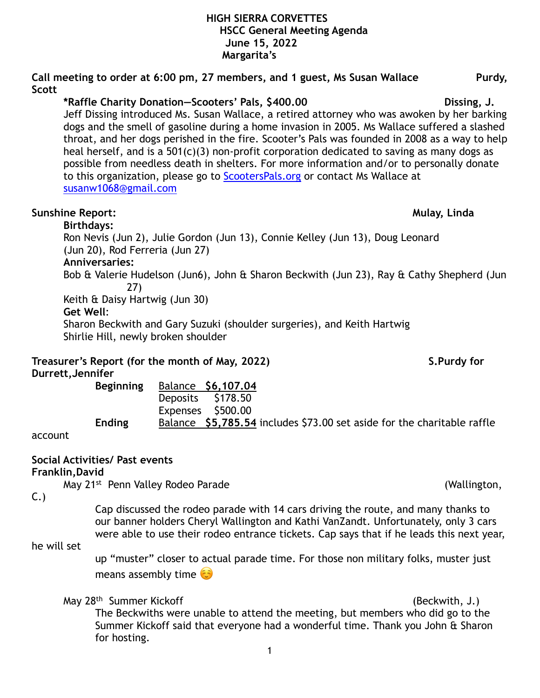# **Scott \*Raffle Charity Donation—Scooters' Pals, \$400.00 Dissing, J.**  Jeff Dissing introduced Ms. Susan Wallace, a retired attorney who was awoken by her barking dogs and the smell of gasoline during a home invasion in 2005. Ms Wallace suffered a slashed throat, and her dogs perished in the fire. Scooter's Pals was founded in 2008 as a way to help heal herself, and is a 501(c)(3) non-profit corporation dedicated to saving as many dogs as possible from needless death in shelters. For more information and/or to personally donate to this organization, please go to [ScootersPals.org](http://www.scooterspals.org) or contact Ms Wallace at [susanw1068@gmail.com](mailto:susanw1068@gmail.com) **Sunshine Report: Mulay, Linda Mulay, Linda Mulay, Linda Birthdays:**  Ron Nevis (Jun 2), Julie Gordon (Jun 13), Connie Kelley (Jun 13), Doug Leonard (Jun 20), Rod Ferreria (Jun 27)

**Call meeting to order at 6:00 pm, 27 members, and 1 guest, Ms Susan Wallace Purdy,** 

**Anniversaries:** 

Bob & Valerie Hudelson (Jun6), John & Sharon Beckwith (Jun 23), Ray & Cathy Shepherd (Jun 27)

Keith & Daisy Hartwig (Jun 30) **Get Well**:

Sharon Beckwith and Gary Suzuki (shoulder surgeries), and Keith Hartwig Shirlie Hill, newly broken shoulder

**Treasurer's Report (for the month of May, 2022)** S.Purdy for **Durrett,Jennifer** 

 **Beginning** Balance **\$6,107.04** Deposits \$178.50 Expenses \$500.00  **Ending** Balance **\$5,785.54** includes \$73.00 set aside for the charitable raffle

account

## **Social Activities/ Past events**

## **Franklin,David**

May 21<sup>st</sup> Penn Valley Rodeo Parade (Wallington, 1996)

C.)

 Cap discussed the rodeo parade with 14 cars driving the route, and many thanks to our banner holders Cheryl Wallington and Kathi VanZandt. Unfortunately, only 3 cars were able to use their rodeo entrance tickets. Cap says that if he leads this next year,

# he will set

up "muster" closer to actual parade time. For those non military folks, muster just means assembly time  $\odot$ 

## May 28<sup>th</sup> Summer Kickoff (Beckwith, J.)

The Beckwiths were unable to attend the meeting, but members who did go to the Summer Kickoff said that everyone had a wonderful time. Thank you John & Sharon for hosting.

1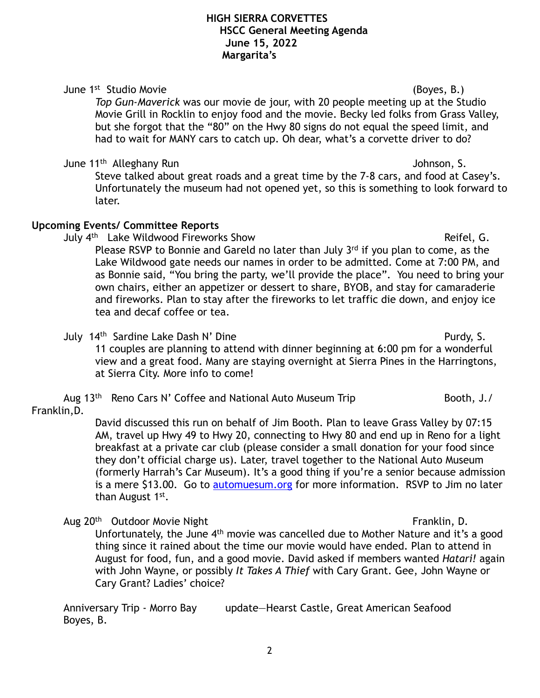# June 1st Studio Movie (Boyes, B.)

*Top Gun-Maverick* was our movie de jour, with 20 people meeting up at the Studio Movie Grill in Rocklin to enjoy food and the movie. Becky led folks from Grass Valley, but she forgot that the "80" on the Hwy 80 signs do not equal the speed limit, and had to wait for MANY cars to catch up. Oh dear, what's a corvette driver to do?

# June 11<sup>th</sup> Alleghany Run Johnson, S.

Steve talked about great roads and a great time by the 7-8 cars, and food at Casey's. Unfortunately the museum had not opened yet, so this is something to look forward to later.

# **Upcoming Events/ Committee Reports**

July 4<sup>th</sup> Lake Wildwood Fireworks Show **Reifel, G.** And Reifel, G. Please RSVP to Bonnie and Gareld no later than July 3rd if you plan to come, as the Lake Wildwood gate needs our names in order to be admitted. Come at 7:00 PM, and as Bonnie said, "You bring the party, we'll provide the place". You need to bring your own chairs, either an appetizer or dessert to share, BYOB, and stay for camaraderie and fireworks. Plan to stay after the fireworks to let traffic die down, and enjoy ice tea and decaf coffee or tea.

July 14<sup>th</sup> Sardine Lake Dash N' Dine **Purdy, S.** Purdy, S. 11 couples are planning to attend with dinner beginning at 6:00 pm for a wonderful view and a great food. Many are staying overnight at Sierra Pines in the Harringtons, at Sierra City. More info to come!

# Aug  $13<sup>th</sup>$  Reno Cars N' Coffee and National Auto Museum Trip Booth, J./

# Franklin,D.

David discussed this run on behalf of Jim Booth. Plan to leave Grass Valley by 07:15 AM, travel up Hwy 49 to Hwy 20, connecting to Hwy 80 and end up in Reno for a light breakfast at a private car club (please consider a small donation for your food since they don't official charge us). Later, travel together to the National Auto Museum (formerly Harrah's Car Museum). It's a good thing if you're a senior because admission is a mere \$13.00. Go to [automuesum.org](http://www.automuseum.org) for more information. RSVP to Jim no later than August 1<sup>st</sup>.

Aug 20<sup>th</sup> Outdoor Movie Night Franklin, D.

Unfortunately, the June 4<sup>th</sup> movie was cancelled due to Mother Nature and it's a good thing since it rained about the time our movie would have ended. Plan to attend in August for food, fun, and a good movie. David asked if members wanted *Hatari!* again with John Wayne, or possibly *It Takes A Thief* with Cary Grant. Gee, John Wayne or Cary Grant? Ladies' choice?

Anniversary Trip - Morro Bay update—Hearst Castle, Great American Seafood Boyes, B.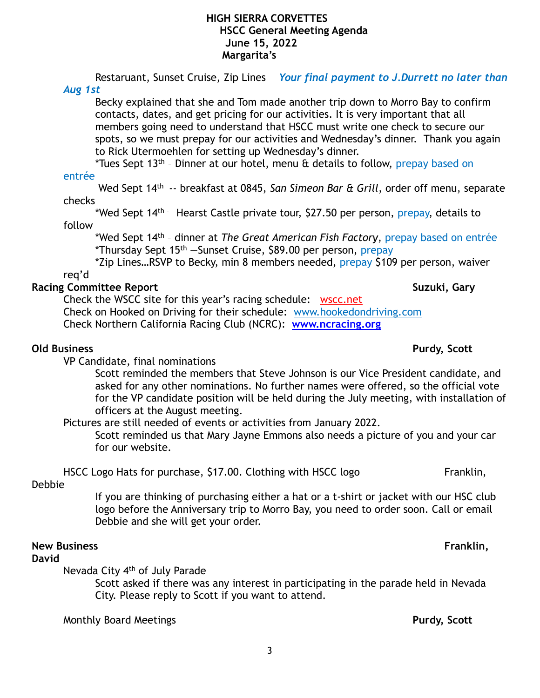Restaruant, Sunset Cruise, Zip Lines *Your final payment to J.Durrett no later than* 

### *Aug 1st*

Becky explained that she and Tom made another trip down to Morro Bay to confirm contacts, dates, and get pricing for our activities. It is very important that all members going need to understand that HSCC must write one check to secure our spots, so we must prepay for our activities and Wednesday's dinner. Thank you again to Rick Utermoehlen for setting up Wednesday's dinner.

\*Tues Sept 13<sup>th</sup> - Dinner at our hotel, menu & details to follow, prepay based on

## entrée

 Wed Sept 14th -- breakfast at 0845, *San Simeon Bar & Grill*, order off menu, separate checks

\*Wed Sept 14<sup>th -</sup> Hearst Castle private tour, \$27.50 per person, prepay, details to follow

 \*Wed Sept 14th – dinner at *The Great American Fish Factory*, prepay based on entrée \*Thursday Sept 15th —Sunset Cruise, \$89.00 per person, prepay

 \*Zip Lines…RSVP to Becky, min 8 members needed, prepay \$109 per person, waiver req'd

# **Racing Committee Report Suzuki, Gary Area and Suzuki, Gary Area and Suzuki, Gary Area and Suzuki, Gary Area and Suzuki, Gary Area and Suzuki, Gary Area and Suzuki, Gary Area and Suzuki, Gary Area and Suzuki, Gary Area and**

Check the WSCC site for this year's racing schedule: [wscc.net](https://wscc.net/) Check on Hooked on Driving for their schedule: [www.hookedondriving.com](http://www.hookedondriving.com) Check Northern California Racing Club (NCRC): **[www.ncracing.org](http://www.ncracing.org)** 

## **Old Business Purdy, Scott** *Purdy, Scott**Purdy, Scott* **<b>Purdy, Scott**

VP Candidate, final nominations

Scott reminded the members that Steve Johnson is our Vice President candidate, and asked for any other nominations. No further names were offered, so the official vote for the VP candidate position will be held during the July meeting, with installation of officers at the August meeting.

Pictures are still needed of events or activities from January 2022.

Scott reminded us that Mary Jayne Emmons also needs a picture of you and your car for our website.

HSCC Logo Hats for purchase, \$17.00. Clothing with HSCC logo Franklin,

## Debbie

If you are thinking of purchasing either a hat or a t-shirt or jacket with our HSC club logo before the Anniversary trip to Morro Bay, you need to order soon. Call or email Debbie and she will get your order.

### **New Business Franklin,**

### **David**

Nevada City 4th of July Parade

Scott asked if there was any interest in participating in the parade held in Nevada City. Please reply to Scott if you want to attend.

Monthly Board Meetings **Purdy, Scott**